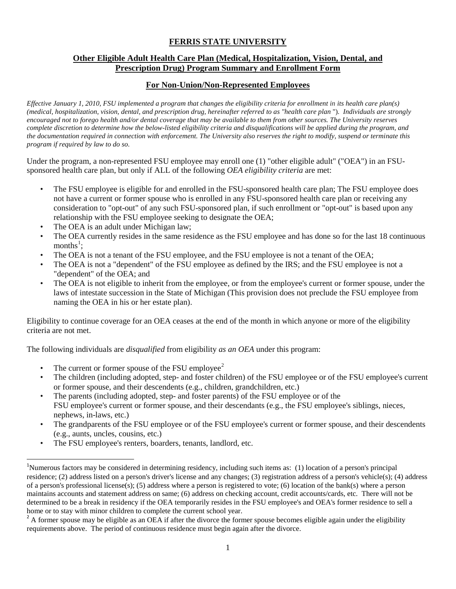## **FERRIS STATE UNIVERSITY**

## **Other Eligible Adult Health Care Plan (Medical, Hospitalization, Vision, Dental, and Prescription Drug) Program Summary and Enrollment Form**

## **For Non-Union/Non-Represented Employees**

*Effective January 1, 2010, FSU implemented a program that changes the eligibility criteria for enrollment in its health care plan(s) (medical, hospitalization, vision, dental, and prescription drug, hereinafter referred to as "health care plan* "). *Individuals are strongly encouraged not to forego health and/or dental coverage that may be available to them from other sources. The University reserves complete discretion to determine how the below-listed eligibility criteria and disqualifications will be applied during the program, and the documentation required in connection with enforcement. The University also reserves the right to modify, suspend or terminate this program if required by law to do so.*

Under the program, a non-represented FSU employee may enroll one (1) "other eligible adult" ("OEA") in an FSUsponsored health care plan, but only if ALL of the following *OEA eligibility criteria* are met:

- The FSU employee is eligible for and enrolled in the FSU-sponsored health care plan; The FSU employee does not have a current or former spouse who is enrolled in any FSU-sponsored health care plan or receiving any consideration to "opt-out" of any such FSU-sponsored plan, if such enrollment or "opt-out" is based upon any relationship with the FSU employee seeking to designate the OEA;
- The OEA is an adult under Michigan law;
- The OEA currently resides in the same residence as the FSU employee and has done so for the last 18 continuous months<sup>[1](#page-0-0)</sup>;
- The OEA is not a tenant of the FSU employee, and the FSU employee is not a tenant of the OEA;
- The OEA is not a "dependent" of the FSU employee as defined by the IRS; and the FSU employee is not a "dependent" of the OEA; and
- The OEA is not eligible to inherit from the employee, or from the employee's current or former spouse, under the laws of intestate succession in the State of Michigan (This provision does not preclude the FSU employee from naming the OEA in his or her estate plan).

Eligibility to continue coverage for an OEA ceases at the end of the month in which anyone or more of the eligibility criteria are not met.

The following individuals are *disqualified* from eligibility *as an OEA* under this program:

- The current or former spouse of the FSU employee<sup>[2](#page-0-1)</sup>
- The children (including adopted, step- and foster children) of the FSU employee or of the FSU employee's current or former spouse, and their descendents (e.g., children, grandchildren, etc.)
- The parents (including adopted, step- and foster parents) of the FSU employee or of the FSU employee's current or former spouse, and their descendants (e.g., the FSU employee's siblings, nieces, nephews, in-laws, etc.)
- The grandparents of the FSU employee or of the FSU employee's current or former spouse, and their descendents (e.g., aunts, uncles, cousins, etc.)
- The FSU employee's renters, boarders, tenants, landlord, etc.

<span id="page-0-0"></span> $\frac{1}{1}$ Numerous factors may be considered in determining residency, including such items as: (1) location of a person's principal residence; (2) address listed on a person's driver's license and any changes; (3) registration address of a person's vehicle(s); (4) address of a person's professional license(s); (5) address where a person is registered to vote; (6) location of the bank(s) where a person maintains accounts and statement address on same; (6) address on checking account, credit accounts/cards, etc. There will not be determined to be a break in residency if the OEA temporarily resides in the FSU employee's and OEA's former residence to sell a home or to stay with minor children to complete the current school year.

<span id="page-0-1"></span><sup>&</sup>lt;sup>2</sup> A former spouse may be eligible as an OEA if after the divorce the former spouse becomes eligible again under the eligibility requirements above. The period of continuous residence must begin again after the divorce.